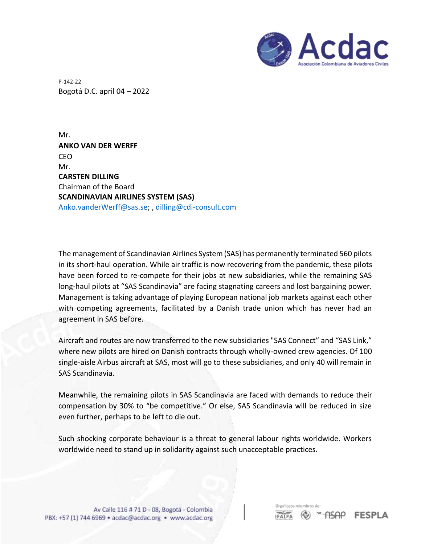

P-142-22 Bogotá D.C. april 04 – 2022

Mr. **ANKO VAN DER WERFF** CEO Mr. **CARSTEN DILLING** Chairman of the Board **SCANDINAVIAN AIRLINES SYSTEM (SAS)** [Anko.vanderWerff@sas.se;](mailto:Anko.vanderWerff@sas.se) , [dilling@cdi-consult.com](mailto:dilling@cdi-consult.com)

The management of Scandinavian Airlines System (SAS) has permanently terminated 560 pilots in its short-haul operation. While air traffic is now recovering from the pandemic, these pilots have been forced to re-compete for their jobs at new subsidiaries, while the remaining SAS long-haul pilots at "SAS Scandinavia" are facing stagnating careers and lost bargaining power. Management is taking advantage of playing European national job markets against each other with competing agreements, facilitated by a Danish trade union which has never had an agreement in SAS before.

Aircraft and routes are now transferred to the new subsidiaries "SAS Connect" and "SAS Link," where new pilots are hired on Danish contracts through wholly-owned crew agencies. Of 100 single-aisle Airbus aircraft at SAS, most will go to these subsidiaries, and only 40 will remain in SAS Scandinavia.

Meanwhile, the remaining pilots in SAS Scandinavia are faced with demands to reduce their compensation by 30% to "be competitive." Or else, SAS Scandinavia will be reduced in size even further, perhaps to be left to die out.

Such shocking corporate behaviour is a threat to general labour rights worldwide. Workers worldwide need to stand up in solidarity against such unacceptable practices.

Orgullosos miembros **ASAP IFALPA** 

**FESPLA**